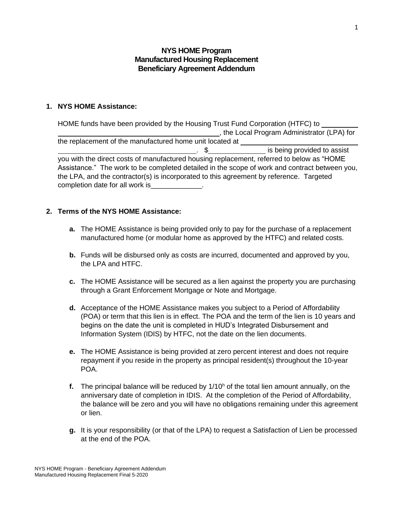# **NYS HOME Program Manufactured Housing Replacement Beneficiary Agreement Addendum**

### **1. NYS HOME Assistance:**

HOME funds have been provided by the Housing Trust Fund Corporation (HTFC) to , the Local Program Administrator (LPA) for the replacement of the manufactured home unit located at . \$ is being provided to assist you with the direct costs of manufactured housing replacement, referred to below as "HOME Assistance." The work to be completed detailed in the scope of work and contract between you, the LPA, and the contractor(s) is incorporated to this agreement by reference. Targeted completion date for all work is  $\blacksquare$ 

### **2. Terms of the NYS HOME Assistance:**

- **a.** The HOME Assistance is being provided only to pay for the purchase of a replacement manufactured home (or modular home as approved by the HTFC) and related costs.
- **b.** Funds will be disbursed only as costs are incurred, documented and approved by you, the LPA and HTFC.
- **c.** The HOME Assistance will be secured as a lien against the property you are purchasing through a Grant Enforcement Mortgage or Note and Mortgage.
- **d.** Acceptance of the HOME Assistance makes you subject to a Period of Affordability (POA) or term that this lien is in effect. The POA and the term of the lien is 10 years and begins on the date the unit is completed in HUD's Integrated Disbursement and Information System (IDIS) by HTFC, not the date on the lien documents.
- **e.** The HOME Assistance is being provided at zero percent interest and does not require repayment if you reside in the property as principal resident(s) throughout the 10-year POA.
- **f.** The principal balance will be reduced by  $1/10<sup>h</sup>$  of the total lien amount annually, on the anniversary date of completion in IDIS. At the completion of the Period of Affordability, the balance will be zero and you will have no obligations remaining under this agreement or lien.
- **g.** It is your responsibility (or that of the LPA) to request a Satisfaction of Lien be processed at the end of the POA.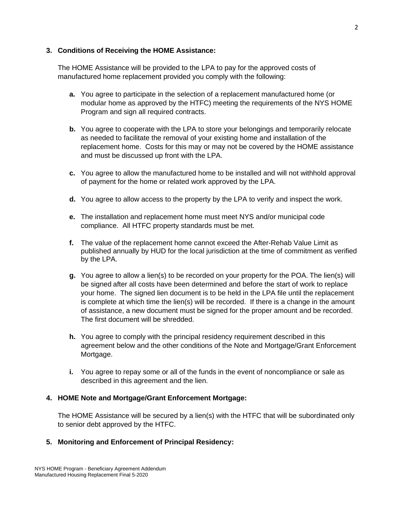### **3. Conditions of Receiving the HOME Assistance:**

The HOME Assistance will be provided to the LPA to pay for the approved costs of manufactured home replacement provided you comply with the following:

- **a.** You agree to participate in the selection of a replacement manufactured home (or modular home as approved by the HTFC) meeting the requirements of the NYS HOME Program and sign all required contracts.
- **b.** You agree to cooperate with the LPA to store your belongings and temporarily relocate as needed to facilitate the removal of your existing home and installation of the replacement home. Costs for this may or may not be covered by the HOME assistance and must be discussed up front with the LPA.
- **c.** You agree to allow the manufactured home to be installed and will not withhold approval of payment for the home or related work approved by the LPA.
- **d.** You agree to allow access to the property by the LPA to verify and inspect the work.
- **e.** The installation and replacement home must meet NYS and/or municipal code compliance. All HTFC property standards must be met.
- **f.** The value of the replacement home cannot exceed the After-Rehab Value Limit as published annually by HUD for the local jurisdiction at the time of commitment as verified by the LPA.
- **g.** You agree to allow a lien(s) to be recorded on your property for the POA. The lien(s) will be signed after all costs have been determined and before the start of work to replace your home. The signed lien document is to be held in the LPA file until the replacement is complete at which time the lien(s) will be recorded. If there is a change in the amount of assistance, a new document must be signed for the proper amount and be recorded. The first document will be shredded.
- **h.** You agree to comply with the principal residency requirement described in this agreement below and the other conditions of the Note and Mortgage/Grant Enforcement Mortgage.
- **i.** You agree to repay some or all of the funds in the event of noncompliance or sale as described in this agreement and the lien.

### **4. HOME Note and Mortgage/Grant Enforcement Mortgage:**

The HOME Assistance will be secured by a lien(s) with the HTFC that will be subordinated only to senior debt approved by the HTFC.

# **5. Monitoring and Enforcement of Principal Residency:**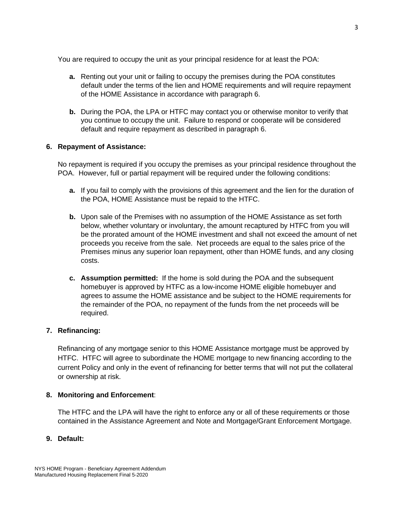You are required to occupy the unit as your principal residence for at least the POA:

- **a.** Renting out your unit or failing to occupy the premises during the POA constitutes default under the terms of the lien and HOME requirements and will require repayment of the HOME Assistance in accordance with paragraph 6.
- **b.** During the POA, the LPA or HTFC may contact you or otherwise monitor to verify that you continue to occupy the unit. Failure to respond or cooperate will be considered default and require repayment as described in paragraph 6.

### **6. Repayment of Assistance:**

No repayment is required if you occupy the premises as your principal residence throughout the POA. However, full or partial repayment will be required under the following conditions:

- **a.** If you fail to comply with the provisions of this agreement and the lien for the duration of the POA, HOME Assistance must be repaid to the HTFC.
- **b.** Upon sale of the Premises with no assumption of the HOME Assistance as set forth below, whether voluntary or involuntary, the amount recaptured by HTFC from you will be the prorated amount of the HOME investment and shall not exceed the amount of net proceeds you receive from the sale. Net proceeds are equal to the sales price of the Premises minus any superior loan repayment, other than HOME funds, and any closing costs.
- **c. Assumption permitted:** If the home is sold during the POA and the subsequent homebuyer is approved by HTFC as a low-income HOME eligible homebuyer and agrees to assume the HOME assistance and be subject to the HOME requirements for the remainder of the POA, no repayment of the funds from the net proceeds will be required.

### **7. Refinancing:**

Refinancing of any mortgage senior to this HOME Assistance mortgage must be approved by HTFC. HTFC will agree to subordinate the HOME mortgage to new financing according to the current Policy and only in the event of refinancing for better terms that will not put the collateral or ownership at risk.

### **8. Monitoring and Enforcement**:

The HTFC and the LPA will have the right to enforce any or all of these requirements or those contained in the Assistance Agreement and Note and Mortgage/Grant Enforcement Mortgage.

### **9. Default:**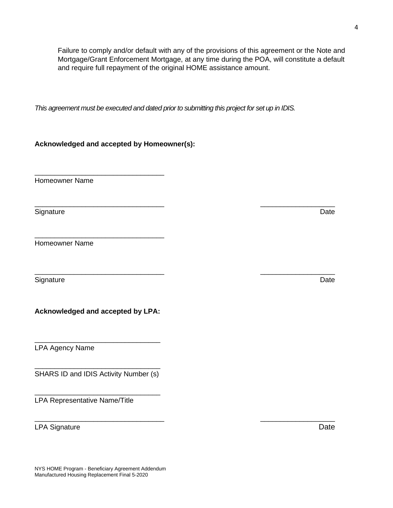Failure to comply and/or default with any of the provisions of this agreement or the Note and Mortgage/Grant Enforcement Mortgage, at any time during the POA, will constitute a default and require full repayment of the original HOME assistance amount.

*This agreement must be executed and dated prior to submitting this project for set up in IDIS.*

\_\_\_\_\_\_\_\_\_\_\_\_\_\_\_\_\_\_\_\_\_\_\_\_\_\_\_\_\_\_\_\_\_ \_\_\_\_\_\_\_\_\_\_\_\_\_\_\_\_\_\_\_

\_\_\_\_\_\_\_\_\_\_\_\_\_\_\_\_\_\_\_\_\_\_\_\_\_\_\_\_\_\_\_\_\_ \_\_\_\_\_\_\_\_\_\_\_\_\_\_\_\_\_\_\_

\_\_\_\_\_\_\_\_\_\_\_\_\_\_\_\_\_\_\_\_\_\_\_\_\_\_\_\_\_\_\_\_\_ \_\_\_\_\_\_\_\_\_\_\_\_\_\_\_\_\_\_\_

**Acknowledged and accepted by Homeowner(s):**

\_\_\_\_\_\_\_\_\_\_\_\_\_\_\_\_\_\_\_\_\_\_\_\_\_\_\_\_\_\_\_\_\_

\_\_\_\_\_\_\_\_\_\_\_\_\_\_\_\_\_\_\_\_\_\_\_\_\_\_\_\_\_\_\_\_\_

Homeowner Name

Signature **Date** 

Homeowner Name

Signature Date

**Acknowledged and accepted by LPA:**

\_\_\_\_\_\_\_\_\_\_\_\_\_\_\_\_\_\_\_\_\_\_\_\_\_\_\_\_\_\_\_\_

LPA Agency Name

\_\_\_\_\_\_\_\_\_\_\_\_\_\_\_\_\_\_\_\_\_\_\_\_\_\_\_\_\_\_\_\_ SHARS ID and IDIS Activity Number (s)

\_\_\_\_\_\_\_\_\_\_\_\_\_\_\_\_\_\_\_\_\_\_\_\_\_\_\_\_\_\_\_\_

LPA Representative Name/Title

LPA Signature Date Date Contract and the Date Date Date Date Date Date Date